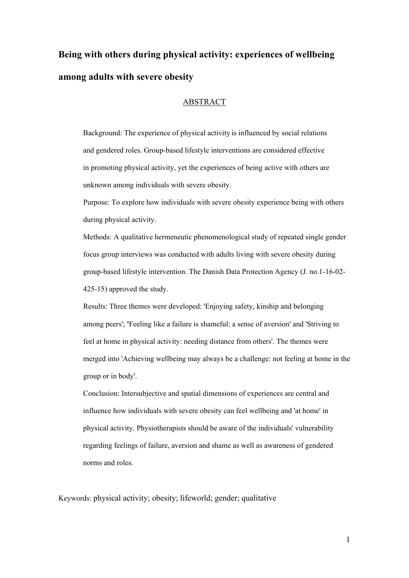# **Being with others during physical activity: experiences of wellbeing among adults with severe obesity**

# ABSTRACT

Background: The experience of physical activity is influenced by social relations and gendered roles. Group-based lifestyle interventions are considered effective in promoting physical activity, yet the experiences of being active with others are unknown among individuals with severe obesity.

Purpose: To explore how individuals with severe obesity experience being with others during physical activity.

Methods: A qualitative hermeneutic phenomenological study of repeated single gender focus group interviews was conducted with adults living with severe obesity during group-based lifestyle intervention. The Danish Data Protection Agency (J. no.1-16-02- 425-15) approved the study.

Results: Three themes were developed: 'Enjoying safety, kinship and belonging among peers'; **'**Feeling like a failure is shameful: a sense of aversion' and 'Striving to feel at home in physical activity: needing distance from others'. The themes were merged into 'Achieving wellbeing may always be a challenge: not feeling at home in the group or in body'.

Conclusion: Intersubjective and spatial dimensions of experiences are central and influence how individuals with severe obesity can feel wellbeing and 'at home' in physical activity. Physiotherapists should be aware of the individuals' vulnerability regarding feelings of failure, aversion and shame as well as awareness of gendered norms and roles.

Keywords: physical activity; obesity; lifeworld; gender; qualitative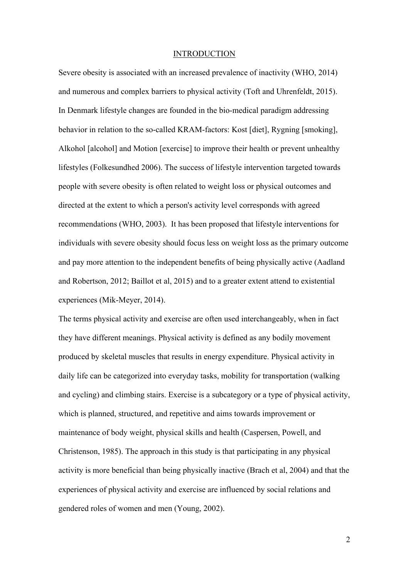#### INTRODUCTION

Severe obesity is associated with an increased prevalence of inactivity (WHO, 2014) and numerous and complex barriers to physical activity (Toft and Uhrenfeldt, 2015). In Denmark lifestyle changes are founded in the bio-medical paradigm addressing behavior in relation to the so-called KRAM-factors: Kost [diet], Rygning [smoking], Alkohol [alcohol] and Motion [exercise] to improve their health or prevent unhealthy lifestyles (Folkesundhed 2006). The success of lifestyle intervention targeted towards people with severe obesity is often related to weight loss or physical outcomes and directed at the extent to which a person's activity level corresponds with agreed recommendations (WHO, 2003). It has been proposed that lifestyle interventions for individuals with severe obesity should focus less on weight loss as the primary outcome and pay more attention to the independent benefits of being physically active (Aadland and Robertson, 2012; Baillot et al, 2015) and to a greater extent attend to existential experiences (Mik-Meyer, 2014).

The terms physical activity and exercise are often used interchangeably, when in fact they have different meanings. Physical activity is defined as any bodily movement produced by skeletal muscles that results in energy expenditure. Physical activity in daily life can be categorized into everyday tasks, mobility for transportation (walking and cycling) and climbing stairs. Exercise is a subcategory or a type of physical activity, which is planned, structured, and repetitive and aims towards improvement or maintenance of body weight, physical skills and health (Caspersen, Powell, and Christenson, 1985). The approach in this study is that participating in any physical activity is more beneficial than being physically inactive (Brach et al, 2004) and that the experiences of physical activity and exercise are influenced by social relations and gendered roles of women and men (Young, 2002).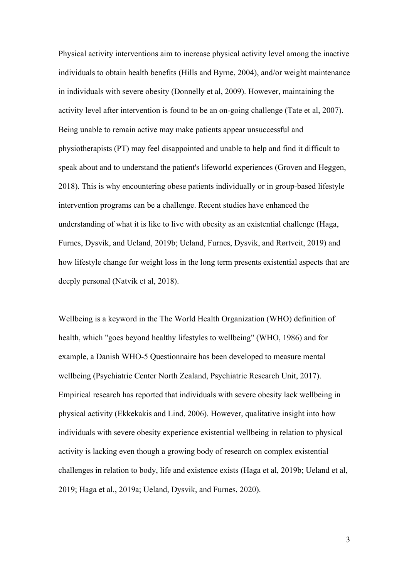Physical activity interventions aim to increase physical activity level among the inactive individuals to obtain health benefits (Hills and Byrne, 2004), and/or weight maintenance in individuals with severe obesity (Donnelly et al, 2009). However, maintaining the activity level after intervention is found to be an on-going challenge (Tate et al, 2007). Being unable to remain active may make patients appear unsuccessful and physiotherapists (PT) may feel disappointed and unable to help and find it difficult to speak about and to understand the patient's lifeworld experiences (Groven and Heggen, 2018). This is why encountering obese patients individually or in group-based lifestyle intervention programs can be a challenge. Recent studies have enhanced the understanding of what it is like to live with obesity as an existential challenge (Haga, Furnes, Dysvik, and Ueland, 2019b; Ueland, Furnes, Dysvik, and Rørtveit, 2019) and how lifestyle change for weight loss in the long term presents existential aspects that are deeply personal (Natvik et al, 2018).

Wellbeing is a keyword in the The World Health Organization (WHO) definition of health, which "goes beyond healthy lifestyles to wellbeing" (WHO, 1986) and for example, a Danish WHO-5 Questionnaire has been developed to measure mental wellbeing (Psychiatric Center North Zealand, Psychiatric Research Unit, 2017). Empirical research has reported that individuals with severe obesity lack wellbeing in physical activity (Ekkekakis and Lind, 2006). However, qualitative insight into how individuals with severe obesity experience existential wellbeing in relation to physical activity is lacking even though a growing body of research on complex existential challenges in relation to body, life and existence exists (Haga et al, 2019b; Ueland et al, 2019; Haga et al., 2019a; Ueland, Dysvik, and Furnes, 2020).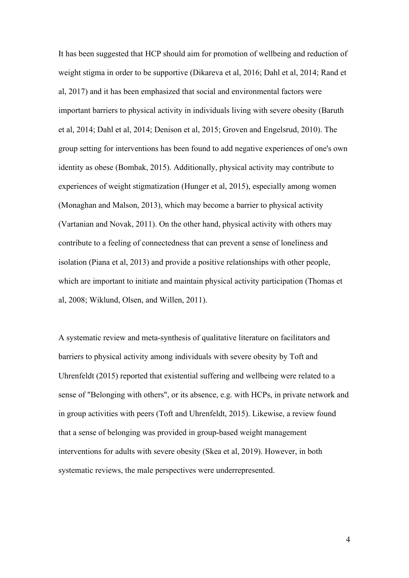It has been suggested that HCP should aim for promotion of wellbeing and reduction of weight stigma in order to be supportive (Dikareva et al, 2016; Dahl et al, 2014; Rand et al, 2017) and it has been emphasized that social and environmental factors were important barriers to physical activity in individuals living with severe obesity (Baruth et al, 2014; Dahl et al, 2014; Denison et al, 2015; Groven and Engelsrud, 2010). The group setting for interventions has been found to add negative experiences of one's own identity as obese (Bombak, 2015). Additionally, physical activity may contribute to experiences of weight stigmatization (Hunger et al, 2015), especially among women (Monaghan and Malson, 2013), which may become a barrier to physical activity (Vartanian and Novak, 2011). On the other hand, physical activity with others may contribute to a feeling of connectedness that can prevent a sense of loneliness and isolation (Piana et al, 2013) and provide a positive relationships with other people, which are important to initiate and maintain physical activity participation (Thomas et al, 2008; Wiklund, Olsen, and Willen, 2011).

A systematic review and meta-synthesis of qualitative literature on facilitators and barriers to physical activity among individuals with severe obesity by Toft and Uhrenfeldt (2015) reported that existential suffering and wellbeing were related to a sense of "Belonging with others", or its absence, e.g. with HCPs, in private network and in group activities with peers (Toft and Uhrenfeldt, 2015). Likewise, a review found that a sense of belonging was provided in group-based weight management interventions for adults with severe obesity (Skea et al, 2019). However, in both systematic reviews, the male perspectives were underrepresented.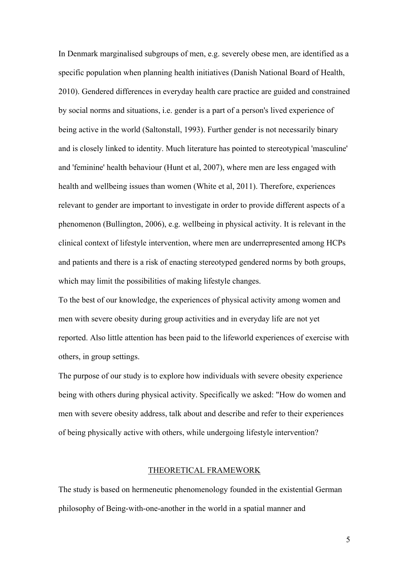In Denmark marginalised subgroups of men, e.g. severely obese men, are identified as a specific population when planning health initiatives (Danish National Board of Health, 2010). Gendered differences in everyday health care practice are guided and constrained by social norms and situations, i.e. gender is a part of a person's lived experience of being active in the world (Saltonstall, 1993). Further gender is not necessarily binary and is closely linked to identity. Much literature has pointed to stereotypical 'masculine' and 'feminine' health behaviour (Hunt et al, 2007), where men are less engaged with health and wellbeing issues than women (White et al, 2011). Therefore, experiences relevant to gender are important to investigate in order to provide different aspects of a phenomenon (Bullington, 2006), e.g. wellbeing in physical activity. It is relevant in the clinical context of lifestyle intervention, where men are underrepresented among HCPs and patients and there is a risk of enacting stereotyped gendered norms by both groups, which may limit the possibilities of making lifestyle changes.

To the best of our knowledge, the experiences of physical activity among women and men with severe obesity during group activities and in everyday life are not yet reported. Also little attention has been paid to the lifeworld experiences of exercise with others, in group settings.

The purpose of our study is to explore how individuals with severe obesity experience being with others during physical activity. Specifically we asked: "How do women and men with severe obesity address, talk about and describe and refer to their experiences of being physically active with others, while undergoing lifestyle intervention?

# THEORETICAL FRAMEWORK

The study is based on hermeneutic phenomenology founded in the existential German philosophy of Being-with-one-another in the world in a spatial manner and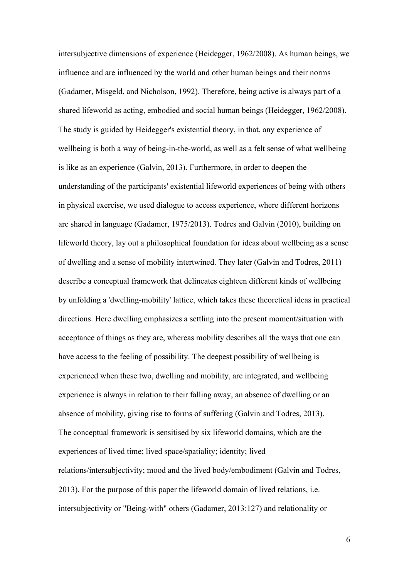intersubjective dimensions of experience (Heidegger, 1962/2008). As human beings, we influence and are influenced by the world and other human beings and their norms (Gadamer, Misgeld, and Nicholson, 1992). Therefore, being active is always part of a shared lifeworld as acting, embodied and social human beings (Heidegger, 1962/2008). The study is guided by Heidegger's existential theory, in that, any experience of wellbeing is both a way of being-in-the-world, as well as a felt sense of what wellbeing is like as an experience (Galvin, 2013). Furthermore, in order to deepen the understanding of the participants' existential lifeworld experiences of being with others in physical exercise, we used dialogue to access experience, where different horizons are shared in language (Gadamer, 1975/2013). Todres and Galvin (2010), building on lifeworld theory, lay out a philosophical foundation for ideas about wellbeing as a sense of dwelling and a sense of mobility intertwined. They later (Galvin and Todres, 2011) describe a conceptual framework that delineates eighteen different kinds of wellbeing by unfolding a 'dwelling-mobility' lattice, which takes these theoretical ideas in practical directions. Here dwelling emphasizes a settling into the present moment/situation with acceptance of things as they are, whereas mobility describes all the ways that one can have access to the feeling of possibility. The deepest possibility of wellbeing is experienced when these two, dwelling and mobility, are integrated, and wellbeing experience is always in relation to their falling away, an absence of dwelling or an absence of mobility, giving rise to forms of suffering (Galvin and Todres, 2013). The conceptual framework is sensitised by six lifeworld domains, which are the experiences of lived time; lived space/spatiality; identity; lived relations/intersubjectivity; mood and the lived body/embodiment (Galvin and Todres, 2013). For the purpose of this paper the lifeworld domain of lived relations, i.e. intersubjectivity or "Being-with" others (Gadamer, 2013:127) and relationality or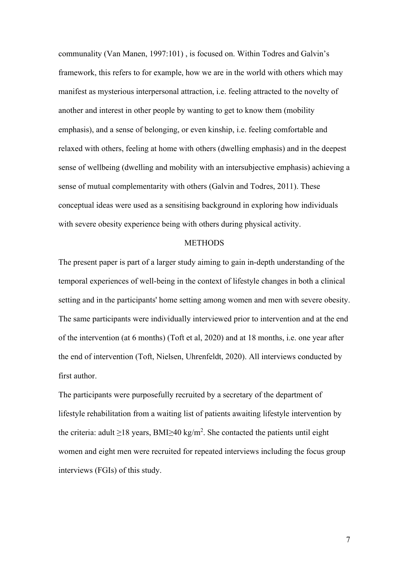communality (Van Manen, 1997:101) , is focused on. Within Todres and Galvin's framework, this refers to for example, how we are in the world with others which may manifest as mysterious interpersonal attraction, i.e. feeling attracted to the novelty of another and interest in other people by wanting to get to know them (mobility emphasis), and a sense of belonging, or even kinship, i.e. feeling comfortable and relaxed with others, feeling at home with others (dwelling emphasis) and in the deepest sense of wellbeing (dwelling and mobility with an intersubjective emphasis) achieving a sense of mutual complementarity with others (Galvin and Todres, 2011). These conceptual ideas were used as a sensitising background in exploring how individuals with severe obesity experience being with others during physical activity.

#### **METHODS**

The present paper is part of a larger study aiming to gain in-depth understanding of the temporal experiences of well-being in the context of lifestyle changes in both a clinical setting and in the participants' home setting among women and men with severe obesity. The same participants were individually interviewed prior to intervention and at the end of the intervention (at 6 months) (Toft et al, 2020) and at 18 months, i.e. one year after the end of intervention (Toft, Nielsen, Uhrenfeldt, 2020). All interviews conducted by first author.

The participants were purposefully recruited by a secretary of the department of lifestyle rehabilitation from a waiting list of patients awaiting lifestyle intervention by the criteria: adult  $\geq$ 18 years, BMI $\geq$ 40 kg/m<sup>2</sup>. She contacted the patients until eight women and eight men were recruited for repeated interviews including the focus group interviews (FGIs) of this study.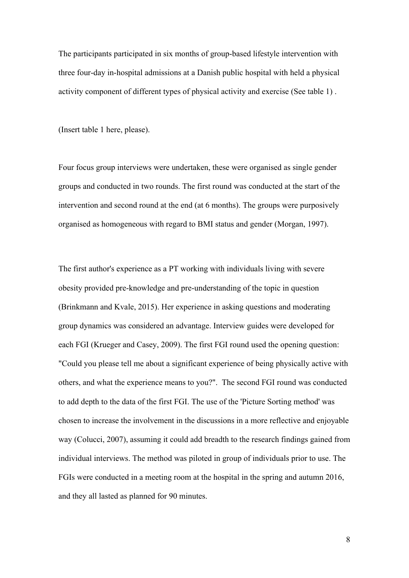The participants participated in six months of group-based lifestyle intervention with three four-day in-hospital admissions at a Danish public hospital with held a physical activity component of different types of physical activity and exercise (See table 1) .

(Insert table 1 here, please).

Four focus group interviews were undertaken, these were organised as single gender groups and conducted in two rounds. The first round was conducted at the start of the intervention and second round at the end (at 6 months). The groups were purposively organised as homogeneous with regard to BMI status and gender (Morgan, 1997).

The first author's experience as a PT working with individuals living with severe obesity provided pre-knowledge and pre-understanding of the topic in question (Brinkmann and Kvale, 2015). Her experience in asking questions and moderating group dynamics was considered an advantage. Interview guides were developed for each FGI (Krueger and Casey, 2009). The first FGI round used the opening question: "Could you please tell me about a significant experience of being physically active with others, and what the experience means to you?". The second FGI round was conducted to add depth to the data of the first FGI. The use of the 'Picture Sorting method' was chosen to increase the involvement in the discussions in a more reflective and enjoyable way (Colucci, 2007), assuming it could add breadth to the research findings gained from individual interviews. The method was piloted in group of individuals prior to use. The FGIs were conducted in a meeting room at the hospital in the spring and autumn 2016, and they all lasted as planned for 90 minutes.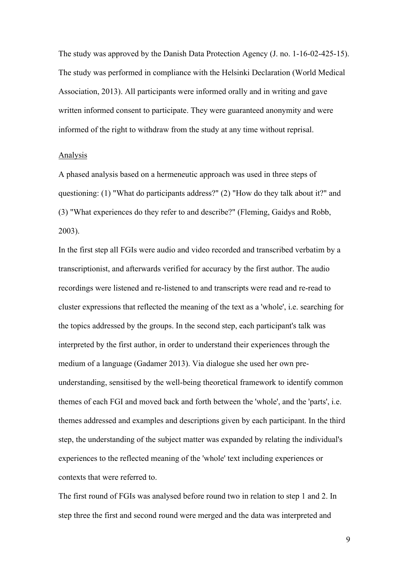The study was approved by the Danish Data Protection Agency (J. no. 1-16-02-425-15). The study was performed in compliance with the Helsinki Declaration (World Medical Association, 2013). All participants were informed orally and in writing and gave written informed consent to participate. They were guaranteed anonymity and were informed of the right to withdraw from the study at any time without reprisal.

#### Analysis

A phased analysis based on a hermeneutic approach was used in three steps of questioning: (1) "What do participants address?" (2) "How do they talk about it?" and (3) "What experiences do they refer to and describe?" (Fleming, Gaidys and Robb, 2003).

In the first step all FGIs were audio and video recorded and transcribed verbatim by a transcriptionist, and afterwards verified for accuracy by the first author. The audio recordings were listened and re-listened to and transcripts were read and re-read to cluster expressions that reflected the meaning of the text as a 'whole', i.e. searching for the topics addressed by the groups. In the second step, each participant's talk was interpreted by the first author, in order to understand their experiences through the medium of a language (Gadamer 2013). Via dialogue she used her own preunderstanding, sensitised by the well-being theoretical framework to identify common themes of each FGI and moved back and forth between the 'whole', and the 'parts', i.e. themes addressed and examples and descriptions given by each participant. In the third step, the understanding of the subject matter was expanded by relating the individual's experiences to the reflected meaning of the 'whole' text including experiences or contexts that were referred to.

The first round of FGIs was analysed before round two in relation to step 1 and 2. In step three the first and second round were merged and the data was interpreted and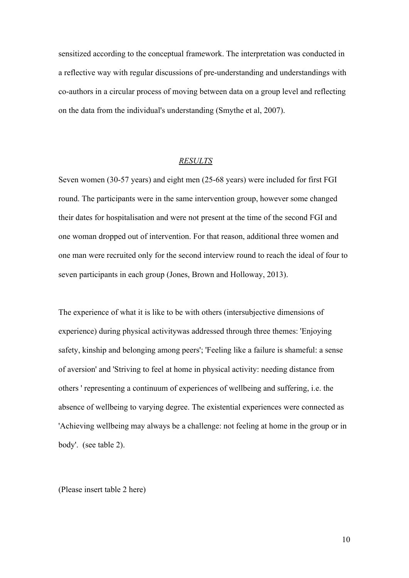sensitized according to the conceptual framework. The interpretation was conducted in a reflective way with regular discussions of pre-understanding and understandings with co-authors in a circular process of moving between data on a group level and reflecting on the data from the individual's understanding (Smythe et al, 2007).

# *RESULTS*

Seven women (30-57 years) and eight men (25-68 years) were included for first FGI round. The participants were in the same intervention group, however some changed their dates for hospitalisation and were not present at the time of the second FGI and one woman dropped out of intervention. For that reason, additional three women and one man were recruited only for the second interview round to reach the ideal of four to seven participants in each group (Jones, Brown and Holloway, 2013).

The experience of what it is like to be with others (intersubjective dimensions of experience) during physical activitywas addressed through three themes: 'Enjoying safety, kinship and belonging among peers'; 'Feeling like a failure is shameful: a sense of aversion' and 'Striving to feel at home in physical activity: needing distance from others ' representing a continuum of experiences of wellbeing and suffering, i.e. the absence of wellbeing to varying degree. The existential experiences were connected as 'Achieving wellbeing may always be a challenge: not feeling at home in the group or in body'. (see table 2).

(Please insert table 2 here)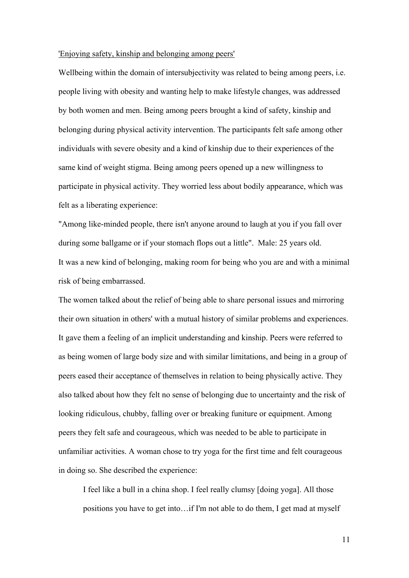### 'Enjoying safety, kinship and belonging among peers'

Wellbeing within the domain of intersubjectivity was related to being among peers, i.e. people living with obesity and wanting help to make lifestyle changes, was addressed by both women and men. Being among peers brought a kind of safety, kinship and belonging during physical activity intervention. The participants felt safe among other individuals with severe obesity and a kind of kinship due to their experiences of the same kind of weight stigma. Being among peers opened up a new willingness to participate in physical activity. They worried less about bodily appearance, which was felt as a liberating experience:

"Among like-minded people, there isn't anyone around to laugh at you if you fall over during some ballgame or if your stomach flops out a little". Male: 25 years old. It was a new kind of belonging, making room for being who you are and with a minimal risk of being embarrassed.

The women talked about the relief of being able to share personal issues and mirroring their own situation in others' with a mutual history of similar problems and experiences. It gave them a feeling of an implicit understanding and kinship. Peers were referred to as being women of large body size and with similar limitations, and being in a group of peers eased their acceptance of themselves in relation to being physically active. They also talked about how they felt no sense of belonging due to uncertainty and the risk of looking ridiculous, chubby, falling over or breaking funiture or equipment. Among peers they felt safe and courageous, which was needed to be able to participate in unfamiliar activities. A woman chose to try yoga for the first time and felt courageous in doing so. She described the experience:

I feel like a bull in a china shop. I feel really clumsy [doing yoga]. All those positions you have to get into…if I'm not able to do them, I get mad at myself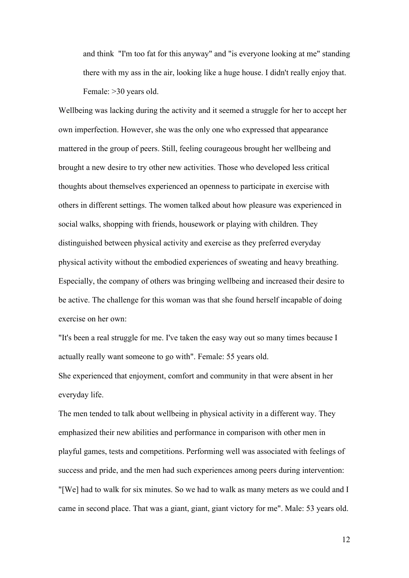and think "I'm too fat for this anyway" and "is everyone looking at me" standing there with my ass in the air, looking like a huge house. I didn't really enjoy that. Female: >30 years old.

Wellbeing was lacking during the activity and it seemed a struggle for her to accept her own imperfection. However, she was the only one who expressed that appearance mattered in the group of peers. Still, feeling courageous brought her wellbeing and brought a new desire to try other new activities. Those who developed less critical thoughts about themselves experienced an openness to participate in exercise with others in different settings. The women talked about how pleasure was experienced in social walks, shopping with friends, housework or playing with children. They distinguished between physical activity and exercise as they preferred everyday physical activity without the embodied experiences of sweating and heavy breathing. Especially, the company of others was bringing wellbeing and increased their desire to be active. The challenge for this woman was that she found herself incapable of doing exercise on her own:

"It's been a real struggle for me. I've taken the easy way out so many times because I actually really want someone to go with". Female: 55 years old. She experienced that enjoyment, comfort and community in that were absent in her everyday life.

The men tended to talk about wellbeing in physical activity in a different way. They emphasized their new abilities and performance in comparison with other men in playful games, tests and competitions. Performing well was associated with feelings of success and pride, and the men had such experiences among peers during intervention: "[We] had to walk for six minutes. So we had to walk as many meters as we could and I came in second place. That was a giant, giant, giant victory for me". Male: 53 years old.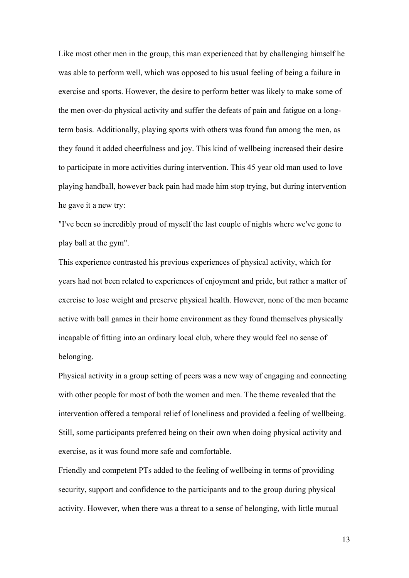Like most other men in the group, this man experienced that by challenging himself he was able to perform well, which was opposed to his usual feeling of being a failure in exercise and sports. However, the desire to perform better was likely to make some of the men over-do physical activity and suffer the defeats of pain and fatigue on a longterm basis. Additionally, playing sports with others was found fun among the men, as they found it added cheerfulness and joy. This kind of wellbeing increased their desire to participate in more activities during intervention. This 45 year old man used to love playing handball, however back pain had made him stop trying, but during intervention he gave it a new try:

"I've been so incredibly proud of myself the last couple of nights where we've gone to play ball at the gym".

This experience contrasted his previous experiences of physical activity, which for years had not been related to experiences of enjoyment and pride, but rather a matter of exercise to lose weight and preserve physical health. However, none of the men became active with ball games in their home environment as they found themselves physically incapable of fitting into an ordinary local club, where they would feel no sense of belonging.

Physical activity in a group setting of peers was a new way of engaging and connecting with other people for most of both the women and men. The theme revealed that the intervention offered a temporal relief of loneliness and provided a feeling of wellbeing. Still, some participants preferred being on their own when doing physical activity and exercise, as it was found more safe and comfortable.

Friendly and competent PTs added to the feeling of wellbeing in terms of providing security, support and confidence to the participants and to the group during physical activity. However, when there was a threat to a sense of belonging, with little mutual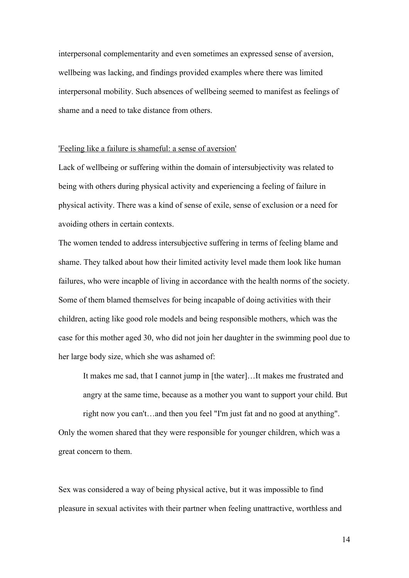interpersonal complementarity and even sometimes an expressed sense of aversion, wellbeing was lacking, and findings provided examples where there was limited interpersonal mobility. Such absences of wellbeing seemed to manifest as feelings of shame and a need to take distance from others.

## 'Feeling like a failure is shameful: a sense of aversion'

Lack of wellbeing or suffering within the domain of intersubjectivity was related to being with others during physical activity and experiencing a feeling of failure in physical activity. There was a kind of sense of exile, sense of exclusion or a need for avoiding others in certain contexts.

The women tended to address intersubjective suffering in terms of feeling blame and shame. They talked about how their limited activity level made them look like human failures, who were incapble of living in accordance with the health norms of the society. Some of them blamed themselves for being incapable of doing activities with their children, acting like good role models and being responsible mothers, which was the case for this mother aged 30, who did not join her daughter in the swimming pool due to her large body size, which she was ashamed of:

It makes me sad, that I cannot jump in [the water]…It makes me frustrated and angry at the same time, because as a mother you want to support your child. But

right now you can't…and then you feel "I'm just fat and no good at anything". Only the women shared that they were responsible for younger children, which was a great concern to them.

Sex was considered a way of being physical active, but it was impossible to find pleasure in sexual activites with their partner when feeling unattractive, worthless and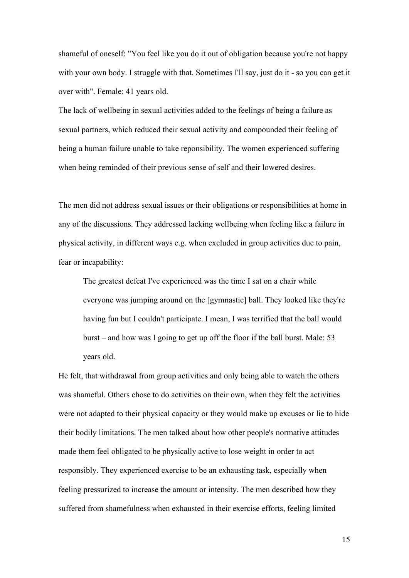shameful of oneself: "You feel like you do it out of obligation because you're not happy with your own body. I struggle with that. Sometimes I'll say, just do it - so you can get it over with". Female: 41 years old.

The lack of wellbeing in sexual activities added to the feelings of being a failure as sexual partners, which reduced their sexual activity and compounded their feeling of being a human failure unable to take reponsibility. The women experienced suffering when being reminded of their previous sense of self and their lowered desires.

The men did not address sexual issues or their obligations or responsibilities at home in any of the discussions. They addressed lacking wellbeing when feeling like a failure in physical activity, in different ways e.g. when excluded in group activities due to pain, fear or incapability:

The greatest defeat I've experienced was the time I sat on a chair while everyone was jumping around on the [gymnastic] ball. They looked like they're having fun but I couldn't participate. I mean, I was terrified that the ball would burst – and how was I going to get up off the floor if the ball burst. Male: 53 years old.

He felt, that withdrawal from group activities and only being able to watch the others was shameful. Others chose to do activities on their own, when they felt the activities were not adapted to their physical capacity or they would make up excuses or lie to hide their bodily limitations. The men talked about how other people's normative attitudes made them feel obligated to be physically active to lose weight in order to act responsibly. They experienced exercise to be an exhausting task, especially when feeling pressurized to increase the amount or intensity. The men described how they suffered from shamefulness when exhausted in their exercise efforts, feeling limited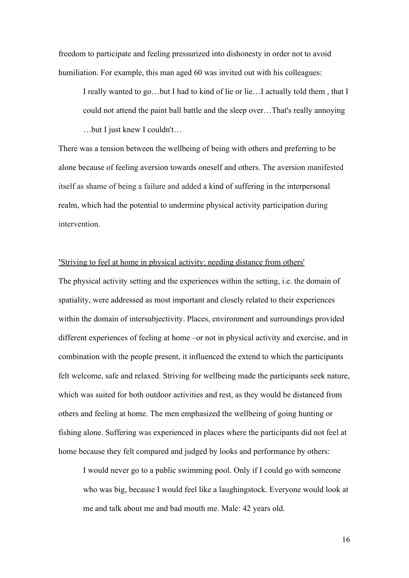freedom to participate and feeling pressurized into dishonesty in order not to avoid humiliation. For example, this man aged 60 was invited out with his colleagues:

I really wanted to go…but I had to kind of lie or lie…I actually told them , that I could not attend the paint ball battle and the sleep over…That's really annoying …but I just knew I couldn't…

There was a tension between the wellbeing of being with others and preferring to be alone because of feeling aversion towards oneself and others. The aversion manifested itself as shame of being a failure and added a kind of suffering in the interpersonal realm, which had the potential to undermine physical activity participation during intervention.

**'**Striving to feel at home in physical activity: needing distance from others'

The physical activity setting and the experiences within the setting, i.e. the domain of spatiality, were addressed as most important and closely related to their experiences within the domain of intersubjectivity. Places, environment and surroundings provided different experiences of feeling at home –or not in physical activity and exercise, and in combination with the people present, it influenced the extend to which the participants felt welcome, safe and relaxed. Striving for wellbeing made the participants seek nature, which was suited for both outdoor activities and rest, as they would be distanced from others and feeling at home. The men emphasized the wellbeing of going hunting or fishing alone. Suffering was experienced in places where the participants did not feel at home because they felt compared and judged by looks and performance by others:

I would never go to a public swimming pool. Only if I could go with someone who was big, because I would feel like a laughingstock. Everyone would look at me and talk about me and bad mouth me. Male: 42 years old.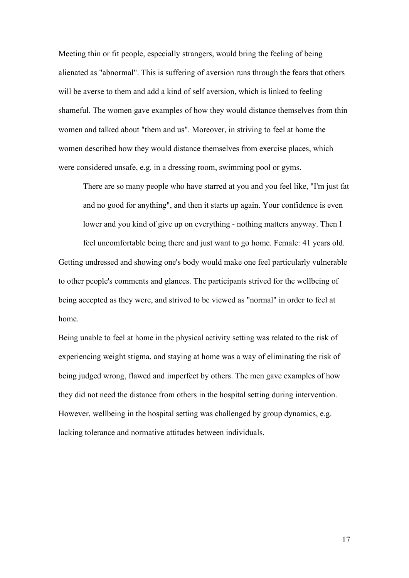Meeting thin or fit people, especially strangers, would bring the feeling of being alienated as "abnormal". This is suffering of aversion runs through the fears that others will be averse to them and add a kind of self aversion, which is linked to feeling shameful. The women gave examples of how they would distance themselves from thin women and talked about "them and us". Moreover, in striving to feel at home the women described how they would distance themselves from exercise places, which were considered unsafe, e.g. in a dressing room, swimming pool or gyms.

There are so many people who have starred at you and you feel like, "I'm just fat and no good for anything", and then it starts up again. Your confidence is even lower and you kind of give up on everything - nothing matters anyway. Then I

feel uncomfortable being there and just want to go home. Female: 41 years old. Getting undressed and showing one's body would make one feel particularly vulnerable to other people's comments and glances. The participants strived for the wellbeing of being accepted as they were, and strived to be viewed as "normal" in order to feel at home.

Being unable to feel at home in the physical activity setting was related to the risk of experiencing weight stigma, and staying at home was a way of eliminating the risk of being judged wrong, flawed and imperfect by others. The men gave examples of how they did not need the distance from others in the hospital setting during intervention. However, wellbeing in the hospital setting was challenged by group dynamics, e.g. lacking tolerance and normative attitudes between individuals.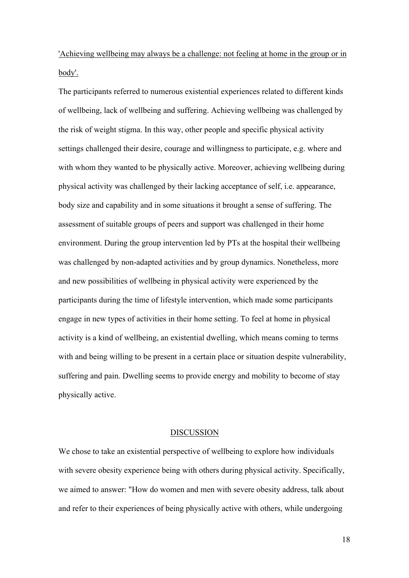'Achieving wellbeing may always be a challenge: not feeling at home in the group or in body'.

The participants referred to numerous existential experiences related to different kinds of wellbeing, lack of wellbeing and suffering. Achieving wellbeing was challenged by the risk of weight stigma. In this way, other people and specific physical activity settings challenged their desire, courage and willingness to participate, e.g. where and with whom they wanted to be physically active. Moreover, achieving wellbeing during physical activity was challenged by their lacking acceptance of self, i.e. appearance, body size and capability and in some situations it brought a sense of suffering. The assessment of suitable groups of peers and support was challenged in their home environment. During the group intervention led by PTs at the hospital their wellbeing was challenged by non-adapted activities and by group dynamics. Nonetheless, more and new possibilities of wellbeing in physical activity were experienced by the participants during the time of lifestyle intervention, which made some participants engage in new types of activities in their home setting. To feel at home in physical activity is a kind of wellbeing, an existential dwelling, which means coming to terms with and being willing to be present in a certain place or situation despite vulnerability, suffering and pain. Dwelling seems to provide energy and mobility to become of stay physically active.

## DISCUSSION

We chose to take an existential perspective of wellbeing to explore how individuals with severe obesity experience being with others during physical activity. Specifically, we aimed to answer: "How do women and men with severe obesity address, talk about and refer to their experiences of being physically active with others, while undergoing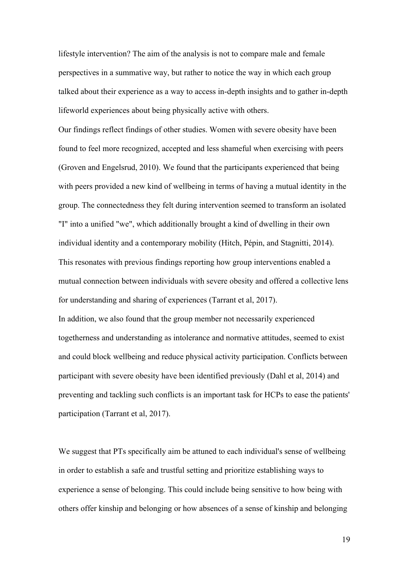lifestyle intervention? The aim of the analysis is not to compare male and female perspectives in a summative way, but rather to notice the way in which each group talked about their experience as a way to access in-depth insights and to gather in-depth lifeworld experiences about being physically active with others.

Our findings reflect findings of other studies. Women with severe obesity have been found to feel more recognized, accepted and less shameful when exercising with peers (Groven and Engelsrud, 2010). We found that the participants experienced that being with peers provided a new kind of wellbeing in terms of having a mutual identity in the group. The connectedness they felt during intervention seemed to transform an isolated "I" into a unified "we", which additionally brought a kind of dwelling in their own individual identity and a contemporary mobility (Hitch, Pépin, and Stagnitti, 2014). This resonates with previous findings reporting how group interventions enabled a mutual connection between individuals with severe obesity and offered a collective lens for understanding and sharing of experiences (Tarrant et al, 2017). In addition, we also found that the group member not necessarily experienced togetherness and understanding as intolerance and normative attitudes, seemed to exist and could block wellbeing and reduce physical activity participation. Conflicts between participant with severe obesity have been identified previously (Dahl et al, 2014) and preventing and tackling such conflicts is an important task for HCPs to ease the patients' participation (Tarrant et al, 2017).

We suggest that PTs specifically aim be attuned to each individual's sense of wellbeing in order to establish a safe and trustful setting and prioritize establishing ways to experience a sense of belonging. This could include being sensitive to how being with others offer kinship and belonging or how absences of a sense of kinship and belonging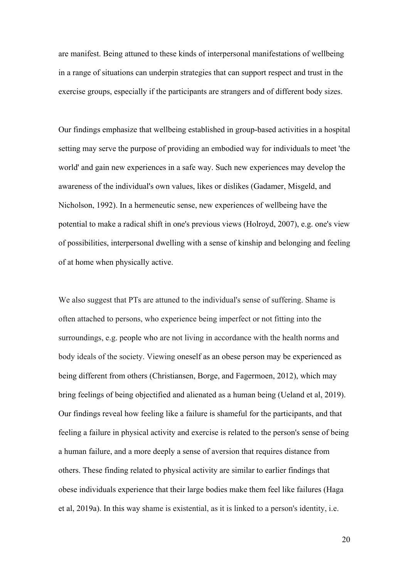are manifest. Being attuned to these kinds of interpersonal manifestations of wellbeing in a range of situations can underpin strategies that can support respect and trust in the exercise groups, especially if the participants are strangers and of different body sizes.

Our findings emphasize that wellbeing established in group-based activities in a hospital setting may serve the purpose of providing an embodied way for individuals to meet 'the world' and gain new experiences in a safe way. Such new experiences may develop the awareness of the individual's own values, likes or dislikes (Gadamer, Misgeld, and Nicholson, 1992). In a hermeneutic sense, new experiences of wellbeing have the potential to make a radical shift in one's previous views (Holroyd, 2007), e.g. one's view of possibilities, interpersonal dwelling with a sense of kinship and belonging and feeling of at home when physically active.

We also suggest that PTs are attuned to the individual's sense of suffering. Shame is often attached to persons, who experience being imperfect or not fitting into the surroundings, e.g. people who are not living in accordance with the health norms and body ideals of the society. Viewing oneself as an obese person may be experienced as being different from others (Christiansen, Borge, and Fagermoen, 2012), which may bring feelings of being objectified and alienated as a human being (Ueland et al, 2019). Our findings reveal how feeling like a failure is shameful for the participants, and that feeling a failure in physical activity and exercise is related to the person's sense of being a human failure, and a more deeply a sense of aversion that requires distance from others. These finding related to physical activity are similar to earlier findings that obese individuals experience that their large bodies make them feel like failures (Haga et al, 2019a). In this way shame is existential, as it is linked to a person's identity, i.e.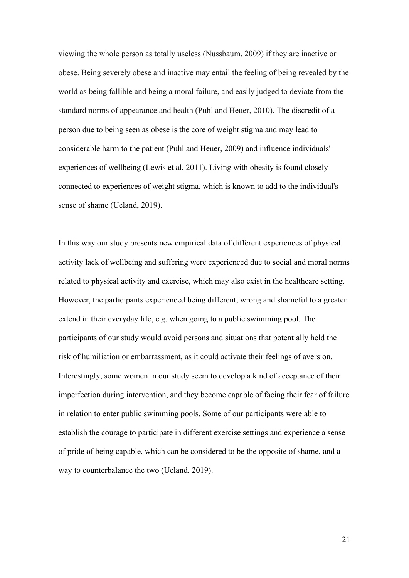viewing the whole person as totally useless (Nussbaum, 2009) if they are inactive or obese. Being severely obese and inactive may entail the feeling of being revealed by the world as being fallible and being a moral failure, and easily judged to deviate from the standard norms of appearance and health (Puhl and Heuer, 2010). The discredit of a person due to being seen as obese is the core of weight stigma and may lead to considerable harm to the patient (Puhl and Heuer, 2009) and influence individuals' experiences of wellbeing (Lewis et al, 2011). Living with obesity is found closely connected to experiences of weight stigma, which is known to add to the individual's sense of shame (Ueland, 2019).

In this way our study presents new empirical data of different experiences of physical activity lack of wellbeing and suffering were experienced due to social and moral norms related to physical activity and exercise, which may also exist in the healthcare setting. However, the participants experienced being different, wrong and shameful to a greater extend in their everyday life, e.g. when going to a public swimming pool. The participants of our study would avoid persons and situations that potentially held the risk of humiliation or embarrassment, as it could activate their feelings of aversion. Interestingly, some women in our study seem to develop a kind of acceptance of their imperfection during intervention, and they become capable of facing their fear of failure in relation to enter public swimming pools. Some of our participants were able to establish the courage to participate in different exercise settings and experience a sense of pride of being capable, which can be considered to be the opposite of shame, and a way to counterbalance the two (Ueland, 2019).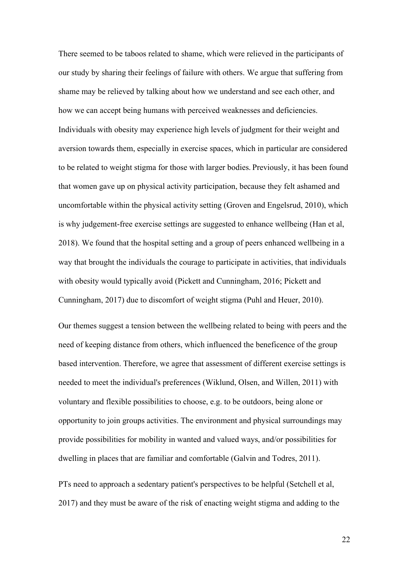There seemed to be taboos related to shame, which were relieved in the participants of our study by sharing their feelings of failure with others. We argue that suffering from shame may be relieved by talking about how we understand and see each other, and how we can accept being humans with perceived weaknesses and deficiencies. Individuals with obesity may experience high levels of judgment for their weight and aversion towards them, especially in exercise spaces, which in particular are considered to be related to weight stigma for those with larger bodies. Previously, it has been found that women gave up on physical activity participation, because they felt ashamed and uncomfortable within the physical activity setting (Groven and Engelsrud, 2010), which is why judgement-free exercise settings are suggested to enhance wellbeing (Han et al, 2018). We found that the hospital setting and a group of peers enhanced wellbeing in a way that brought the individuals the courage to participate in activities, that individuals with obesity would typically avoid (Pickett and Cunningham, 2016; Pickett and Cunningham, 2017) due to discomfort of weight stigma (Puhl and Heuer, 2010).

Our themes suggest a tension between the wellbeing related to being with peers and the need of keeping distance from others, which influenced the beneficence of the group based intervention. Therefore, we agree that assessment of different exercise settings is needed to meet the individual's preferences (Wiklund, Olsen, and Willen, 2011) with voluntary and flexible possibilities to choose, e.g. to be outdoors, being alone or opportunity to join groups activities. The environment and physical surroundings may provide possibilities for mobility in wanted and valued ways, and/or possibilities for dwelling in places that are familiar and comfortable (Galvin and Todres, 2011).

PTs need to approach a sedentary patient's perspectives to be helpful (Setchell et al, 2017) and they must be aware of the risk of enacting weight stigma and adding to the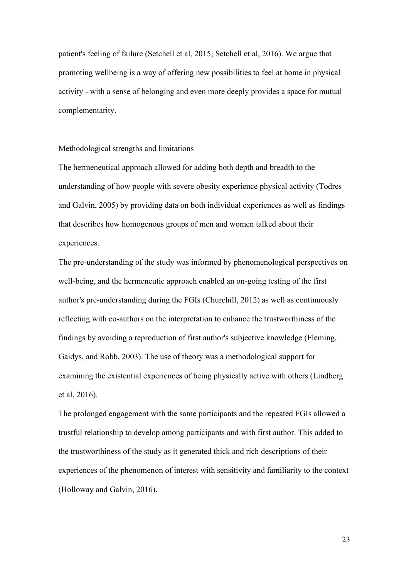patient's feeling of failure (Setchell et al, 2015; Setchell et al, 2016). We argue that promoting wellbeing is a way of offering new possibilities to feel at home in physical activity - with a sense of belonging and even more deeply provides a space for mutual complementarity.

#### Methodological strengths and limitations

The hermeneutical approach allowed for adding both depth and breadth to the understanding of how people with severe obesity experience physical activity (Todres and Galvin, 2005) by providing data on both individual experiences as well as findings that describes how homogenous groups of men and women talked about their experiences.

The pre-understanding of the study was informed by phenomenological perspectives on well-being, and the hermeneutic approach enabled an on-going testing of the first author's pre-understanding during the FGIs (Churchill, 2012) as well as continuously reflecting with co-authors on the interpretation to enhance the trustworthiness of the findings by avoiding a reproduction of first author's subjective knowledge (Fleming, Gaidys, and Robb, 2003). The use of theory was a methodological support for examining the existential experiences of being physically active with others (Lindberg et al, 2016).

The prolonged engagement with the same participants and the repeated FGIs allowed a trustful relationship to develop among participants and with first author. This added to the trustworthiness of the study as it generated thick and rich descriptions of their experiences of the phenomenon of interest with sensitivity and familiarity to the context (Holloway and Galvin, 2016).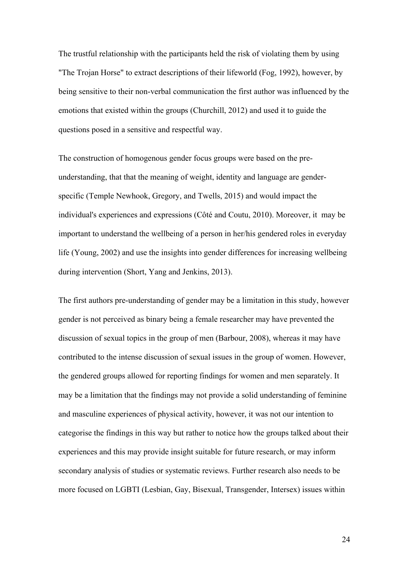The trustful relationship with the participants held the risk of violating them by using "The Trojan Horse" to extract descriptions of their lifeworld (Fog, 1992), however, by being sensitive to their non-verbal communication the first author was influenced by the emotions that existed within the groups (Churchill, 2012) and used it to guide the questions posed in a sensitive and respectful way.

The construction of homogenous gender focus groups were based on the preunderstanding, that that the meaning of weight, identity and language are genderspecific (Temple Newhook, Gregory, and Twells, 2015) and would impact the individual's experiences and expressions (Côté and Coutu, 2010). Moreover, it may be important to understand the wellbeing of a person in her/his gendered roles in everyday life (Young, 2002) and use the insights into gender differences for increasing wellbeing during intervention (Short, Yang and Jenkins, 2013).

The first authors pre-understanding of gender may be a limitation in this study, however gender is not perceived as binary being a female researcher may have prevented the discussion of sexual topics in the group of men (Barbour, 2008), whereas it may have contributed to the intense discussion of sexual issues in the group of women. However, the gendered groups allowed for reporting findings for women and men separately. It may be a limitation that the findings may not provide a solid understanding of feminine and masculine experiences of physical activity, however, it was not our intention to categorise the findings in this way but rather to notice how the groups talked about their experiences and this may provide insight suitable for future research, or may inform secondary analysis of studies or systematic reviews. Further research also needs to be more focused on LGBTI (Lesbian, Gay, Bisexual, Transgender, Intersex) issues within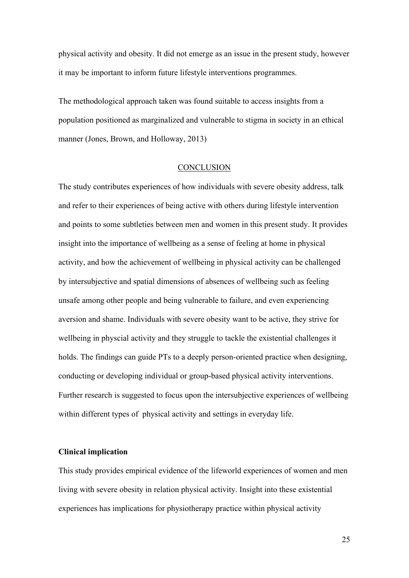physical activity and obesity. It did not emerge as an issue in the present study, however it may be important to inform future lifestyle interventions programmes.

The methodological approach taken was found suitable to access insights from a population positioned as marginalized and vulnerable to stigma in society in an ethical manner (Jones, Brown, and Holloway, 2013)

#### **CONCLUSION**

The study contributes experiences of how individuals with severe obesity address, talk and refer to their experiences of being active with others during lifestyle intervention and points to some subtleties between men and women in this present study. It provides insight into the importance of wellbeing as a sense of feeling at home in physical activity, and how the achievement of wellbeing in physical activity can be challenged by intersubjective and spatial dimensions of absences of wellbeing such as feeling unsafe among other people and being vulnerable to failure, and even experiencing aversion and shame. Individuals with severe obesity want to be active, they strive for wellbeing in physcial activity and they struggle to tackle the existential challenges it holds. The findings can guide PTs to a deeply person-oriented practice when designing, conducting or developing individual or group-based physical activity interventions. Further research is suggested to focus upon the intersubjective experiences of wellbeing within different types of physical activity and settings in everyday life.

# **Clinical implication**

This study provides empirical evidence of the lifeworld experiences of women and men living with severe obesity in relation physical activity. Insight into these existential experiences has implications for physiotherapy practice within physical activity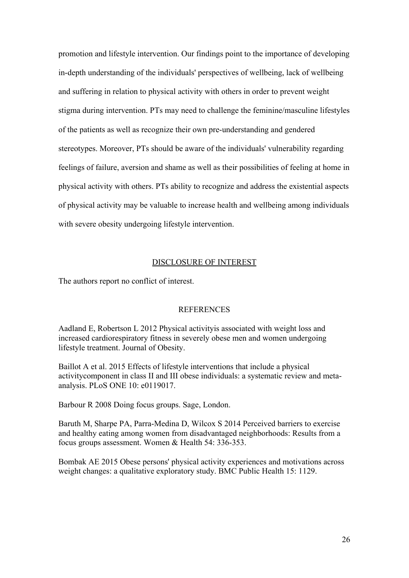promotion and lifestyle intervention. Our findings point to the importance of developing in-depth understanding of the individuals' perspectives of wellbeing, lack of wellbeing and suffering in relation to physical activity with others in order to prevent weight stigma during intervention. PTs may need to challenge the feminine/masculine lifestyles of the patients as well as recognize their own pre-understanding and gendered stereotypes. Moreover, PTs should be aware of the individuals' vulnerability regarding feelings of failure, aversion and shame as well as their possibilities of feeling at home in physical activity with others. PTs ability to recognize and address the existential aspects of physical activity may be valuable to increase health and wellbeing among individuals with severe obesity undergoing lifestyle intervention.

# DISCLOSURE OF INTEREST

The authors report no conflict of interest.

#### **REFERENCES**

Aadland E, Robertson L 2012 Physical activityis associated with weight loss and increased cardiorespiratory fitness in severely obese men and women undergoing lifestyle treatment. Journal of Obesity.

Baillot A et al. 2015 Effects of lifestyle interventions that include a physical activitycomponent in class II and III obese individuals: a systematic review and metaanalysis. PLoS ONE 10: e0119017.

Barbour R 2008 Doing focus groups. Sage, London.

Baruth M, Sharpe PA, Parra-Medina D, Wilcox S 2014 Perceived barriers to exercise and healthy eating among women from disadvantaged neighborhoods: Results from a focus groups assessment. Women & Health 54: 336-353.

Bombak AE 2015 Obese persons' physical activity experiences and motivations across weight changes: a qualitative exploratory study. BMC Public Health 15: 1129.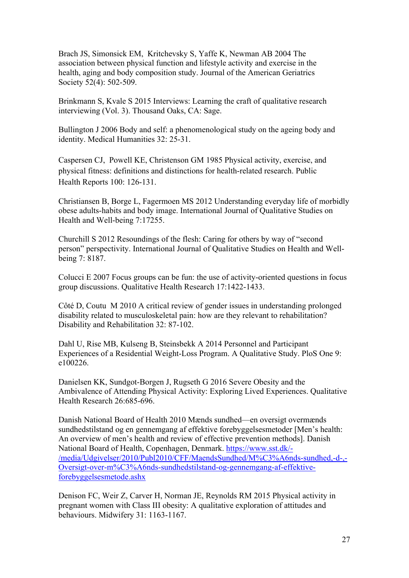Brach JS, Simonsick EM, [Kritchevsky](https://pubmed.ncbi.nlm.nih.gov/?term=Kritchevsky+S&cauthor_id=15066063) S, Yaffe K, Newman AB 2004 The association between physical function and lifestyle activity and exercise in the health, aging and body composition study. Journal of the American Geriatrics Society 52(4): 502-509.

Brinkmann S, Kvale S 2015 Interviews: Learning the craft of qualitative research interviewing (Vol. 3). Thousand Oaks, CA: Sage.

Bullington J 2006 Body and self: a phenomenological study on the ageing body and identity. Medical Humanities 32: 25-31.

Caspersen CJ, [Powell](https://www.ncbi.nlm.nih.gov/pubmed/?term=Powell%20KE%5BAuthor%5D&cauthor=true&cauthor_uid=3920711) KE, [Christenson](https://www.ncbi.nlm.nih.gov/pubmed/?term=Christenson%20GM%5BAuthor%5D&cauthor=true&cauthor_uid=3920711) GM 1985 Physical activity, exercise, and physical fitness: definitions and distinctions for health-related research. Public Health Reports 100: 126-131.

Christiansen B, Borge L, Fagermoen MS 2012 Understanding everyday life of morbidly obese adults-habits and body image. International Journal of Qualitative Studies on Health and Well-being 7:17255.

Churchill S 2012 Resoundings of the flesh: Caring for others by way of "second person" perspectivity. International Journal of Qualitative Studies on Health and Wellbeing 7: 8187.

Colucci E 2007 Focus groups can be fun: the use of activity-oriented questions in focus group discussions. Qualitative Health Research 17:1422-1433.

Côté D, Coutu M 2010 A critical review of gender issues in understanding prolonged disability related to musculoskeletal pain: how are they relevant to rehabilitation? Disability and Rehabilitation 32: 87-102.

Dahl U, Rise MB, Kulseng B, Steinsbekk A 2014 Personnel and Participant Experiences of a Residential Weight-Loss Program. A Qualitative Study. PloS One 9: e100226.

Danielsen KK, Sundgot-Borgen J, Rugseth G 2016 Severe Obesity and the Ambivalence of Attending Physical Activity: Exploring Lived Experiences. Qualitative Health Research 26:685-696.

Danish National Board of Health 2010 Mænds sundhed—en oversigt overmænds sundhedstilstand og en gennemgang af effektive forebyggelsesmetoder [Men's health: An overview of men's health and review of effective prevention methods]. Danish National Board of Health, Copenhagen, Denmark. [https://www.sst.dk/-](https://www.sst.dk/-/media/Udgivelser/2010/Publ2010/CFF/MaendsSundhed/M%C3%A6nds-sundhed,-d-,-Oversigt-over-m%C3%A6nds-sundhedstilstand-og-gennemgang-af-effektive-forebyggelsesmetode.ashx) [/media/Udgivelser/2010/Publ2010/CFF/MaendsSundhed/M%C3%A6nds-sundhed,-d-,-](https://www.sst.dk/-/media/Udgivelser/2010/Publ2010/CFF/MaendsSundhed/M%C3%A6nds-sundhed,-d-,-Oversigt-over-m%C3%A6nds-sundhedstilstand-og-gennemgang-af-effektive-forebyggelsesmetode.ashx) [Oversigt-over-m%C3%A6nds-sundhedstilstand-og-gennemgang-af-effektive](https://www.sst.dk/-/media/Udgivelser/2010/Publ2010/CFF/MaendsSundhed/M%C3%A6nds-sundhed,-d-,-Oversigt-over-m%C3%A6nds-sundhedstilstand-og-gennemgang-af-effektive-forebyggelsesmetode.ashx)[forebyggelsesmetode.ashx](https://www.sst.dk/-/media/Udgivelser/2010/Publ2010/CFF/MaendsSundhed/M%C3%A6nds-sundhed,-d-,-Oversigt-over-m%C3%A6nds-sundhedstilstand-og-gennemgang-af-effektive-forebyggelsesmetode.ashx)

Denison FC, Weir Z, Carver H, Norman JE, Reynolds RM 2015 Physical activity in pregnant women with Class III obesity: A qualitative exploration of attitudes and behaviours. Midwifery 31: 1163-1167.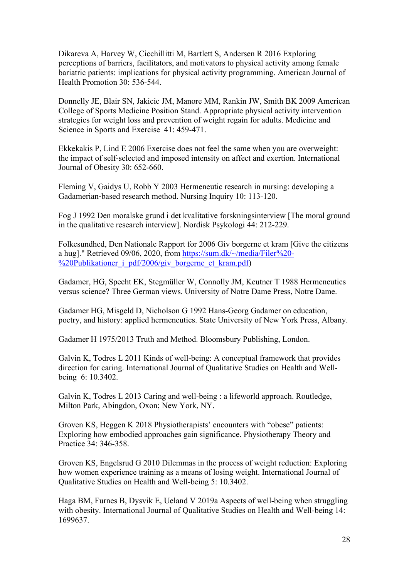Dikareva A, Harvey W, Cicchillitti M, Bartlett S, Andersen R 2016 Exploring perceptions of barriers, facilitators, and motivators to physical activity among female bariatric patients: implications for physical activity programming. American Journal of Health Promotion 30: 536-544.

Donnelly JE, Blair SN, Jakicic JM, Manore MM, Rankin JW, Smith BK 2009 American College of Sports Medicine Position Stand. Appropriate physical activity intervention strategies for weight loss and prevention of weight regain for adults. Medicine and Science in Sports and Exercise 41: 459-471.

Ekkekakis P, Lind E 2006 Exercise does not feel the same when you are overweight: the impact of self-selected and imposed intensity on affect and exertion. International Journal of Obesity 30: 652-660.

Fleming V, Gaidys U, Robb Y 2003 Hermeneutic research in nursing: developing a Gadamerian‐based research method. Nursing Inquiry 10: 113-120.

Fog J 1992 Den moralske grund i det kvalitative forskningsinterview [The moral ground in the qualitative research interview]. Nordisk Psykologi 44: 212-229.

Folkesundhed, Den Nationale Rapport for 2006 Giv borgerne et kram [Give the citizens a hug]." Retrieved 09/06, 2020, from [https://sum.dk/~/media/Filer%20-](https://sum.dk/%7E/media/Filer%20-%20Publikationer_i_pdf/2006/giv_borgerne_et_kram.pdf) [%20Publikationer\\_i\\_pdf/2006/giv\\_borgerne\\_et\\_kram.pdf\)](https://sum.dk/%7E/media/Filer%20-%20Publikationer_i_pdf/2006/giv_borgerne_et_kram.pdf)

Gadamer, HG, Specht EK, Stegmüller W, Connolly JM, Keutner T 1988 Hermeneutics versus science? Three German views. University of Notre Dame Press, Notre Dame.

Gadamer HG, Misgeld D, Nicholson G 1992 Hans-Georg Gadamer on education, poetry, and history: applied hermeneutics. State University of New York Press, Albany.

Gadamer H 1975/2013 Truth and Method. Bloomsbury Publishing, London.

Galvin K, Todres L 2011 Kinds of well-being: A conceptual framework that provides direction for caring. International Journal of Qualitative Studies on Health and Wellbeing 6: 10.3402.

Galvin K, Todres L 2013 Caring and well-being : a lifeworld approach. Routledge, Milton Park, Abingdon, Oxon; New York, NY.

Groven KS, Heggen K 2018 Physiotherapists' encounters with "obese" patients: Exploring how embodied approaches gain significance. Physiotherapy Theory and Practice 34: 346-358.

Groven KS, Engelsrud G 2010 Dilemmas in the process of weight reduction: Exploring how women experience training as a means of losing weight. International Journal of Qualitative Studies on Health and Well-being 5: 10.3402.

Haga BM, Furnes B, Dysvik E, Ueland V 2019a Aspects of well-being when struggling with obesity. International Journal of Qualitative Studies on Health and Well-being 14: 1699637.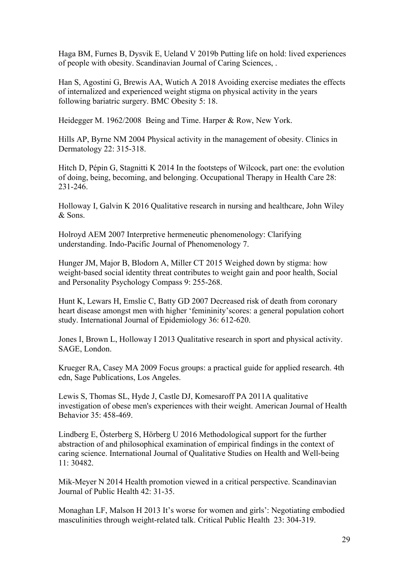Haga BM, Furnes B, Dysvik E, Ueland V 2019b Putting life on hold: lived experiences of people with obesity. Scandinavian Journal of Caring Sciences, .

Han S, Agostini G, Brewis AA, Wutich A 2018 Avoiding exercise mediates the effects of internalized and experienced weight stigma on physical activity in the years following bariatric surgery. BMC Obesity 5: 18.

Heidegger M. 1962/2008 Being and Time. Harper & Row, New York.

Hills AP, Byrne NM 2004 Physical activity in the management of obesity. Clinics in Dermatology 22: 315-318.

Hitch D, Pépin G, Stagnitti K 2014 In the footsteps of Wilcock, part one: the evolution of doing, being, becoming, and belonging. Occupational Therapy in Health Care 28: 231-246.

Holloway I, Galvin K 2016 Qualitative research in nursing and healthcare, John Wiley & Sons.

Holroyd AEM 2007 Interpretive hermeneutic phenomenology: Clarifying understanding. Indo-Pacific Journal of Phenomenology 7.

Hunger JM, Major B, Blodorn A, Miller CT 2015 Weighed down by stigma: how weight-based social identity threat contributes to weight gain and poor health, Social and Personality Psychology Compass 9: 255-268.

Hunt K, Lewars H, Emslie C, Batty GD 2007 Decreased risk of death from coronary heart disease amongst men with higher 'femininity'scores: a general population cohort study. International Journal of Epidemiology 36: 612-620.

Jones I, Brown L, Holloway I 2013 Qualitative research in sport and physical activity. SAGE, London.

Krueger RA, Casey MA 2009 Focus groups: a practical guide for applied research. 4th edn, Sage Publications, Los Angeles.

Lewis S, Thomas SL, Hyde J, Castle DJ, Komesaroff PA 2011A qualitative investigation of obese men's experiences with their weight. American Journal of Health Behavior 35: 458-469.

Lindberg E, Österberg S, Hörberg U 2016 Methodological support for the further abstraction of and philosophical examination of empirical findings in the context of caring science. International Journal of Qualitative Studies on Health and Well-being 11: 30482.

Mik-Meyer N 2014 Health promotion viewed in a critical perspective. Scandinavian Journal of Public Health 42: 31-35.

Monaghan LF, Malson H 2013 It's worse for women and girls': Negotiating embodied masculinities through weight-related talk. Critical Public Health 23: 304-319.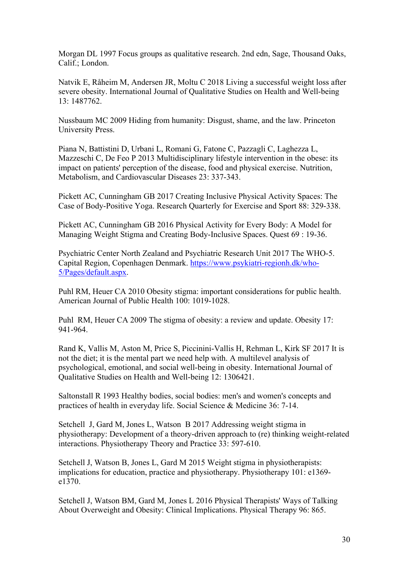Morgan DL 1997 Focus groups as qualitative research. 2nd edn, Sage, Thousand Oaks, Calif.; London.

Natvik E, Råheim M, Andersen JR, Moltu C 2018 Living a successful weight loss after severe obesity. International Journal of Qualitative Studies on Health and Well-being 13: 1487762.

Nussbaum MC 2009 Hiding from humanity: Disgust, shame, and the law. Princeton University Press.

Piana N, Battistini D, Urbani L, Romani G, Fatone C, Pazzagli C, Laghezza L, Mazzeschi C, De Feo P 2013 Multidisciplinary lifestyle intervention in the obese: its impact on patients' perception of the disease, food and physical exercise. Nutrition, Metabolism, and Cardiovascular Diseases 23: 337-343.

Pickett AC, Cunningham GB 2017 Creating Inclusive Physical Activity Spaces: The Case of Body-Positive Yoga. Research Quarterly for Exercise and Sport 88: 329-338.

Pickett AC, Cunningham GB 2016 Physical Activity for Every Body: A Model for Managing Weight Stigma and Creating Body-Inclusive Spaces. Quest 69 : 19-36.

Psychiatric Center North Zealand and Psychiatric Research Unit 2017 The WHO-5. Capital Region, Copenhagen Denmark. [https://www.psykiatri-regionh.dk/who-](https://www.psykiatri-regionh.dk/who-5/Pages/default.aspx)[5/Pages/default.aspx.](https://www.psykiatri-regionh.dk/who-5/Pages/default.aspx)

Puhl RM, Heuer CA 2010 Obesity stigma: important considerations for public health. American Journal of Public Health 100: 1019-1028.

Puhl RM, Heuer CA 2009 The stigma of obesity: a review and update. Obesity 17: 941-964.

Rand K, Vallis M, Aston M, Price S, Piccinini-Vallis H, Rehman L, Kirk SF 2017 It is not the diet; it is the mental part we need help with. A multilevel analysis of psychological, emotional, and social well-being in obesity. International Journal of Qualitative Studies on Health and Well-being 12: 1306421.

Saltonstall R 1993 Healthy bodies, social bodies: men's and women's concepts and practices of health in everyday life. Social Science & Medicine 36: 7-14.

Setchell J, Gard M, Jones L, Watson B 2017 Addressing weight stigma in physiotherapy: Development of a theory-driven approach to (re) thinking weight-related interactions. Physiotherapy Theory and Practice 33: 597-610.

Setchell J, Watson B, Jones L, Gard M 2015 Weight stigma in physiotherapists: implications for education, practice and physiotherapy. Physiotherapy 101: e1369 e1370.

Setchell J, Watson BM, Gard M, Jones L 2016 Physical Therapists' Ways of Talking About Overweight and Obesity: Clinical Implications. Physical Therapy 96: 865.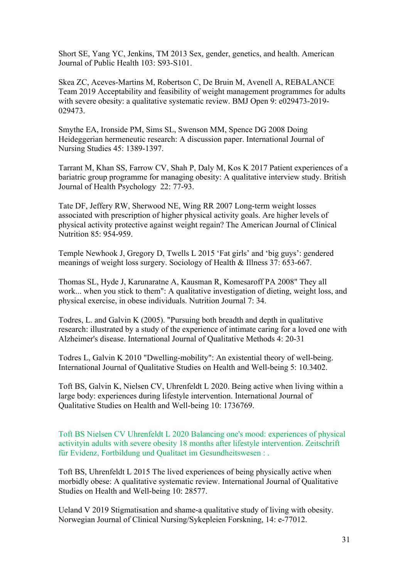Short SE, Yang YC, Jenkins, TM 2013 Sex, gender, genetics, and health. American Journal of Public Health 103: S93-S101.

Skea ZC, Aceves-Martins M, Robertson C, De Bruin M, Avenell A, REBALANCE Team 2019 Acceptability and feasibility of weight management programmes for adults with severe obesity: a qualitative systematic review. BMJ Open 9: e029473-2019- 029473.

Smythe EA, Ironside PM, Sims SL, Swenson MM, Spence DG 2008 Doing Heideggerian hermeneutic research: A discussion paper. International Journal of Nursing Studies 45: 1389-1397.

Tarrant M, Khan SS, Farrow CV, Shah P, Daly M, Kos K 2017 Patient experiences of a bariatric group programme for managing obesity: A qualitative interview study. British Journal of Health Psychology 22: 77-93.

Tate DF, Jeffery RW, Sherwood NE, Wing RR 2007 Long-term weight losses associated with prescription of higher physical activity goals. Are higher levels of physical activity protective against weight regain? The American Journal of Clinical Nutrition 85: 954-959.

Temple Newhook J, Gregory D, Twells L 2015 'Fat girls' and 'big guys': gendered meanings of weight loss surgery. Sociology of Health & Illness 37: 653-667.

Thomas SL, Hyde J, Karunaratne A, Kausman R, Komesaroff PA 2008" They all work... when you stick to them": A qualitative investigation of dieting, weight loss, and physical exercise, in obese individuals. Nutrition Journal 7: 34.

Todres, L. and Galvin K (2005). "Pursuing both breadth and depth in qualitative research: illustrated by a study of the experience of intimate caring for a loved one with Alzheimer's disease. International Journal of Qualitative Methods 4: 20-31

Todres L, Galvin K 2010 "Dwelling-mobility": An existential theory of well-being. International Journal of Qualitative Studies on Health and Well-being 5: 10.3402.

Toft BS, Galvin K, Nielsen CV, Uhrenfeldt L 2020. Being active when living within a large body: experiences during lifestyle intervention. International Journal of Qualitative Studies on Health and Well-being 10: 1736769.

Toft BS Nielsen CV Uhrenfeldt L 2020 Balancing one's mood: experiences of physical activityin adults with severe obesity 18 months after lifestyle intervention. Zeitschrift für Evidenz, Fortbildung und Qualitaet im Gesundheitswesen : .

Toft BS, Uhrenfeldt L 2015 The lived experiences of being physically active when morbidly obese: A qualitative systematic review. International Journal of Qualitative Studies on Health and Well-being 10: 28577.

Ueland V 2019 Stigmatisation and shame-a qualitative study of living with obesity. Norwegian Journal of Clinical Nursing/Sykepleien Forskning, 14: e-77012.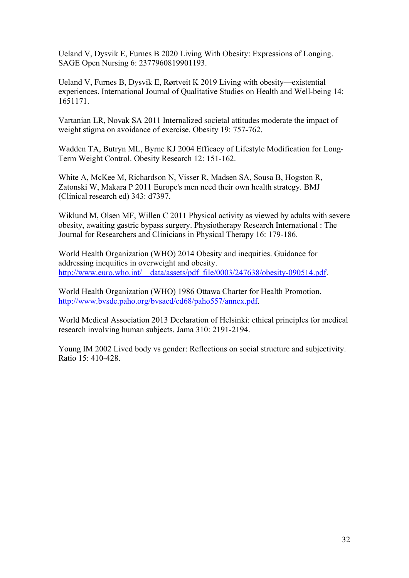Ueland V, Dysvik E, Furnes B 2020 Living With Obesity: Expressions of Longing. SAGE Open Nursing 6: 2377960819901193.

Ueland V, Furnes B, Dysvik E, Rørtveit K 2019 Living with obesity—existential experiences. International Journal of Qualitative Studies on Health and Well-being 14: 1651171.

Vartanian LR, Novak SA 2011 Internalized societal attitudes moderate the impact of weight stigma on avoidance of exercise. Obesity 19: 757-762.

Wadden TA, Butryn ML, Byrne KJ 2004 Efficacy of Lifestyle Modification for Long-Term Weight Control. Obesity Research 12: 151-162.

White A, McKee M, Richardson N, Visser R, Madsen SA, Sousa B, Hogston R, Zatonski W, Makara P 2011 Europe's men need their own health strategy. BMJ (Clinical research ed) 343: d7397.

Wiklund M, Olsen MF, Willen C 2011 Physical activity as viewed by adults with severe obesity, awaiting gastric bypass surgery. Physiotherapy Research International : The Journal for Researchers and Clinicians in Physical Therapy 16: 179-186.

World Health Organization (WHO) 2014 Obesity and inequities. Guidance for addressing inequities in overweight and obesity. http://www.euro.who.int/\_data/assets/pdf\_file/0003/247638/obesity-090514.pdf.

World Health Organization (WHO) 1986 Ottawa Charter for Health Promotion. [http://www.bvsde.paho.org/bvsacd/cd68/paho557/annex.pdf.](http://www.bvsde.paho.org/bvsacd/cd68/paho557/annex.pdf)

World Medical Association 2013 Declaration of Helsinki: ethical principles for medical research involving human subjects. Jama 310: 2191-2194.

Young IM 2002 Lived body vs gender: Reflections on social structure and subjectivity. Ratio 15: 410-428.